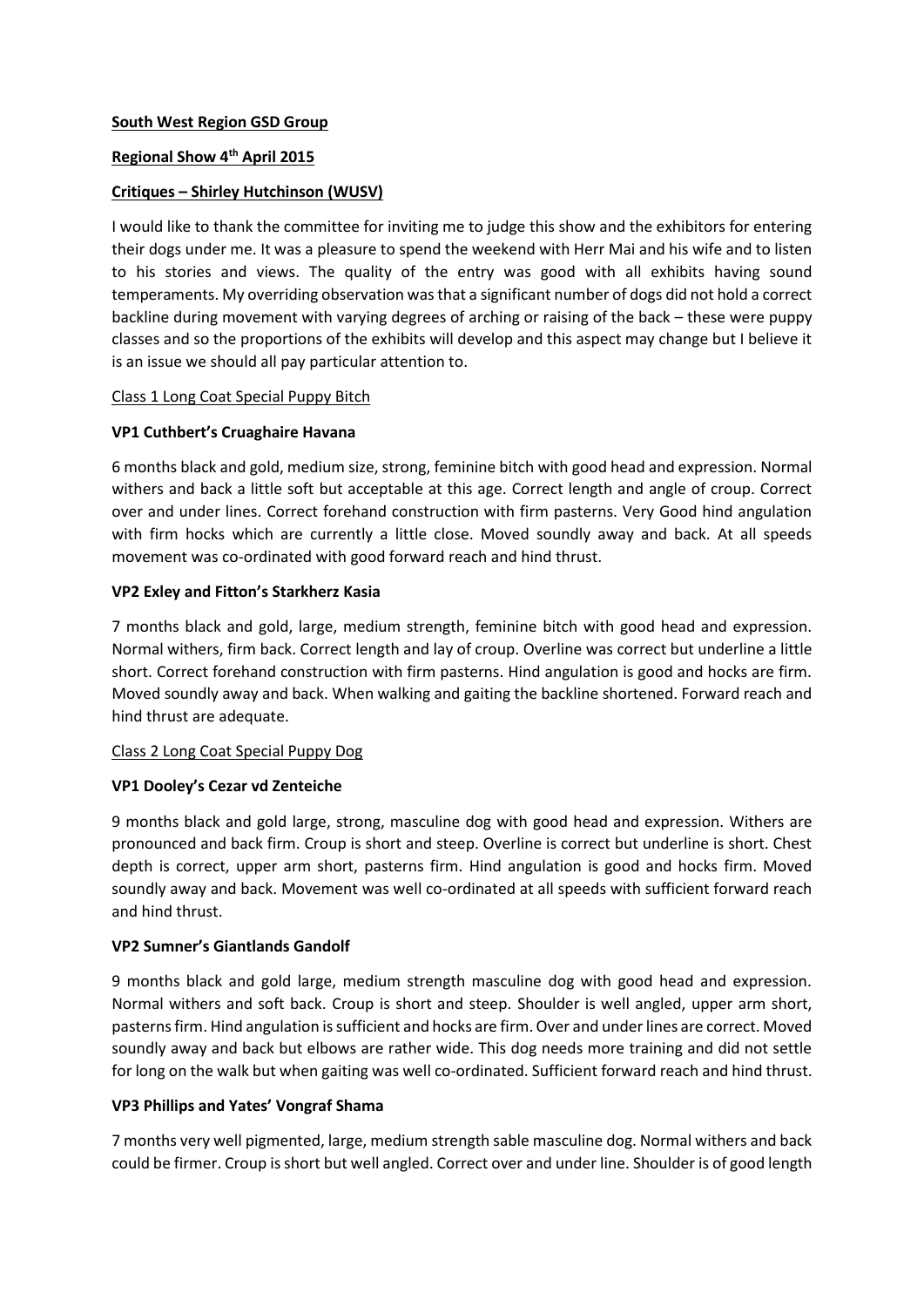#### **South West Region GSD Group**

# **Regional Show 4th April 2015**

### **Critiques – Shirley Hutchinson (WUSV)**

I would like to thank the committee for inviting me to judge this show and the exhibitors for entering their dogs under me. It was a pleasure to spend the weekend with Herr Mai and his wife and to listen to his stories and views. The quality of the entry was good with all exhibits having sound temperaments. My overriding observation was that a significant number of dogs did not hold a correct backline during movement with varying degrees of arching or raising of the back – these were puppy classes and so the proportions of the exhibits will develop and this aspect may change but I believe it is an issue we should all pay particular attention to.

#### Class 1 Long Coat Special Puppy Bitch

### **VP1 Cuthbert's Cruaghaire Havana**

6 months black and gold, medium size, strong, feminine bitch with good head and expression. Normal withers and back a little soft but acceptable at this age. Correct length and angle of croup. Correct over and under lines. Correct forehand construction with firm pasterns. Very Good hind angulation with firm hocks which are currently a little close. Moved soundly away and back. At all speeds movement was co-ordinated with good forward reach and hind thrust.

### **VP2 Exley and Fitton's Starkherz Kasia**

7 months black and gold, large, medium strength, feminine bitch with good head and expression. Normal withers, firm back. Correct length and lay of croup. Overline was correct but underline a little short. Correct forehand construction with firm pasterns. Hind angulation is good and hocks are firm. Moved soundly away and back. When walking and gaiting the backline shortened. Forward reach and hind thrust are adequate.

#### Class 2 Long Coat Special Puppy Dog

# **VP1 Dooley's Cezar vd Zenteiche**

9 months black and gold large, strong, masculine dog with good head and expression. Withers are pronounced and back firm. Croup is short and steep. Overline is correct but underline is short. Chest depth is correct, upper arm short, pasterns firm. Hind angulation is good and hocks firm. Moved soundly away and back. Movement was well co-ordinated at all speeds with sufficient forward reach and hind thrust.

#### **VP2 Sumner's Giantlands Gandolf**

9 months black and gold large, medium strength masculine dog with good head and expression. Normal withers and soft back. Croup is short and steep. Shoulder is well angled, upper arm short, pasterns firm. Hind angulation is sufficient and hocks are firm. Over and under lines are correct. Moved soundly away and back but elbows are rather wide. This dog needs more training and did not settle for long on the walk but when gaiting was well co-ordinated. Sufficient forward reach and hind thrust.

#### **VP3 Phillips and Yates' Vongraf Shama**

7 months very well pigmented, large, medium strength sable masculine dog. Normal withers and back could be firmer. Croup is short but well angled. Correct over and under line. Shoulder is of good length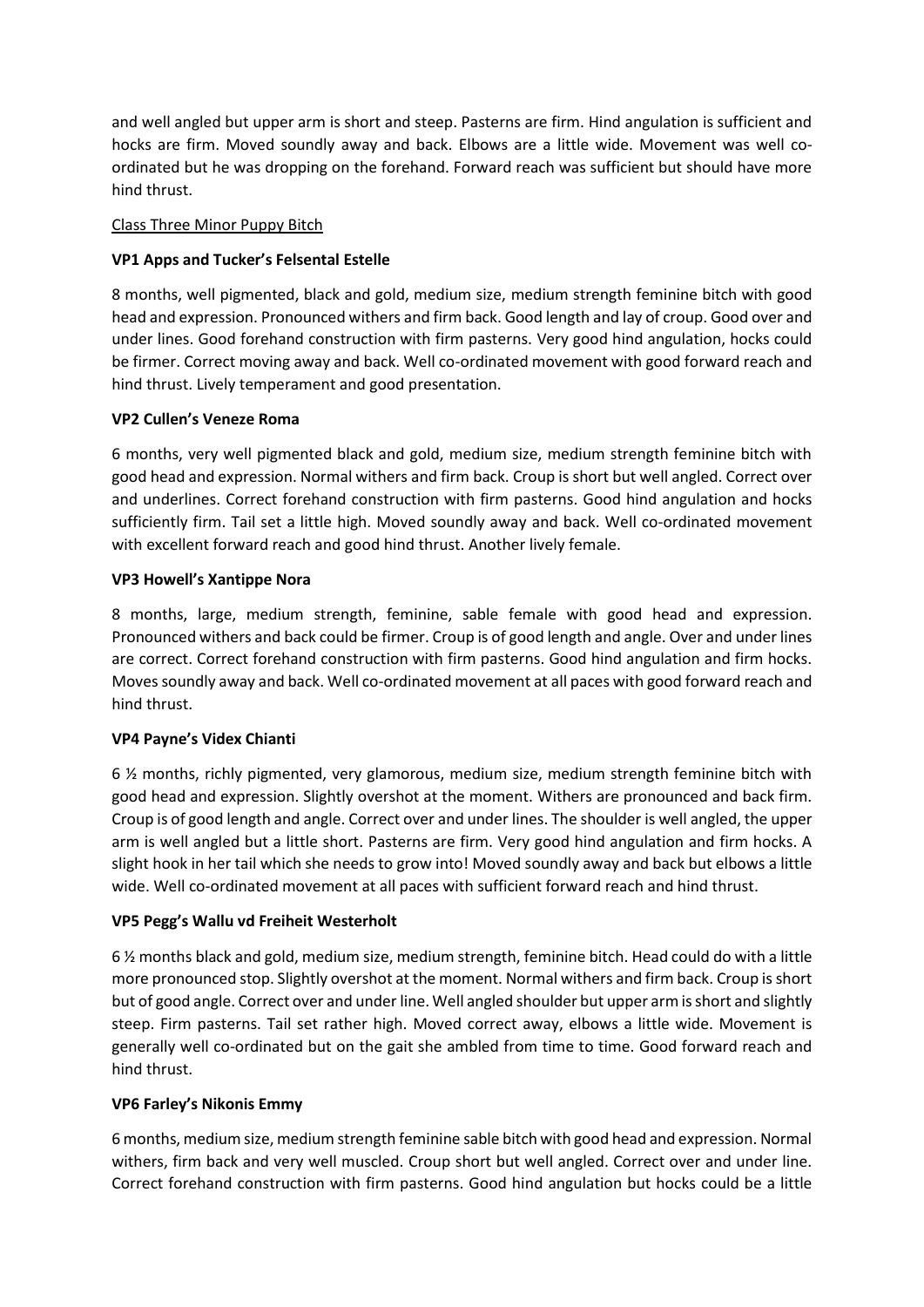and well angled but upper arm is short and steep. Pasterns are firm. Hind angulation is sufficient and hocks are firm. Moved soundly away and back. Elbows are a little wide. Movement was well coordinated but he was dropping on the forehand. Forward reach was sufficient but should have more hind thrust.

## Class Three Minor Puppy Bitch

## **VP1 Apps and Tucker's Felsental Estelle**

8 months, well pigmented, black and gold, medium size, medium strength feminine bitch with good head and expression. Pronounced withers and firm back. Good length and lay of croup. Good over and under lines. Good forehand construction with firm pasterns. Very good hind angulation, hocks could be firmer. Correct moving away and back. Well co-ordinated movement with good forward reach and hind thrust. Lively temperament and good presentation.

### **VP2 Cullen's Veneze Roma**

6 months, very well pigmented black and gold, medium size, medium strength feminine bitch with good head and expression. Normal withers and firm back. Croup is short but well angled. Correct over and underlines. Correct forehand construction with firm pasterns. Good hind angulation and hocks sufficiently firm. Tail set a little high. Moved soundly away and back. Well co-ordinated movement with excellent forward reach and good hind thrust. Another lively female.

### **VP3 Howell's Xantippe Nora**

8 months, large, medium strength, feminine, sable female with good head and expression. Pronounced withers and back could be firmer. Croup is of good length and angle. Over and under lines are correct. Correct forehand construction with firm pasterns. Good hind angulation and firm hocks. Moves soundly away and back. Well co-ordinated movement at all paces with good forward reach and hind thrust.

# **VP4 Payne's Videx Chianti**

6 ½ months, richly pigmented, very glamorous, medium size, medium strength feminine bitch with good head and expression. Slightly overshot at the moment. Withers are pronounced and back firm. Croup is of good length and angle. Correct over and under lines. The shoulder is well angled, the upper arm is well angled but a little short. Pasterns are firm. Very good hind angulation and firm hocks. A slight hook in her tail which she needs to grow into! Moved soundly away and back but elbows a little wide. Well co-ordinated movement at all paces with sufficient forward reach and hind thrust.

#### **VP5 Pegg's Wallu vd Freiheit Westerholt**

6 ½ months black and gold, medium size, medium strength, feminine bitch. Head could do with a little more pronounced stop. Slightly overshot at the moment. Normal withers and firm back. Croup is short but of good angle. Correct over and under line. Well angled shoulder but upper arm is short and slightly steep. Firm pasterns. Tail set rather high. Moved correct away, elbows a little wide. Movement is generally well co-ordinated but on the gait she ambled from time to time. Good forward reach and hind thrust.

#### **VP6 Farley's Nikonis Emmy**

6 months, medium size, medium strength feminine sable bitch with good head and expression. Normal withers, firm back and very well muscled. Croup short but well angled. Correct over and under line. Correct forehand construction with firm pasterns. Good hind angulation but hocks could be a little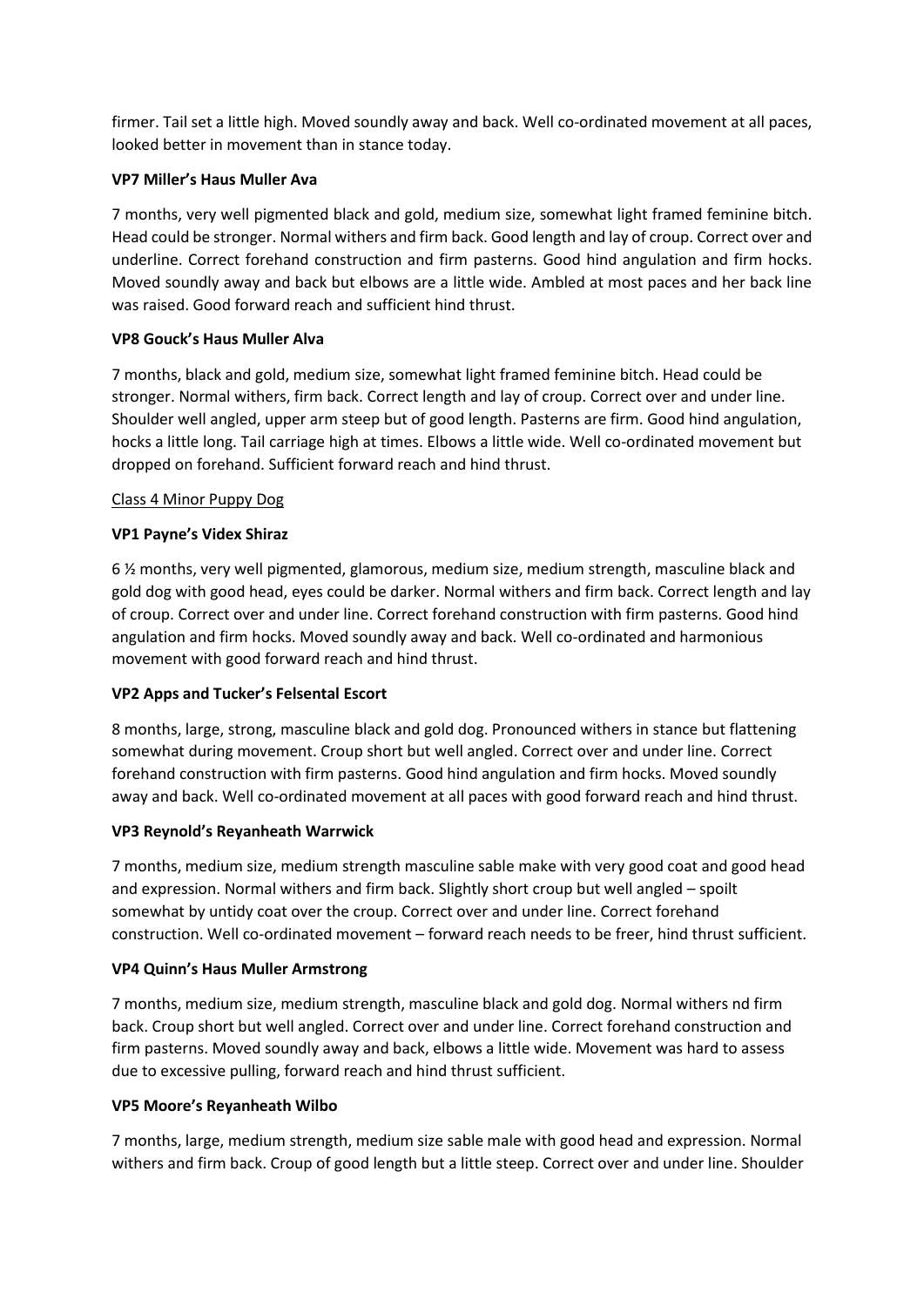firmer. Tail set a little high. Moved soundly away and back. Well co-ordinated movement at all paces, looked better in movement than in stance today.

### **VP7 Miller's Haus Muller Ava**

7 months, very well pigmented black and gold, medium size, somewhat light framed feminine bitch. Head could be stronger. Normal withers and firm back. Good length and lay of croup. Correct over and underline. Correct forehand construction and firm pasterns. Good hind angulation and firm hocks. Moved soundly away and back but elbows are a little wide. Ambled at most paces and her back line was raised. Good forward reach and sufficient hind thrust.

### **VP8 Gouck's Haus Muller Alva**

7 months, black and gold, medium size, somewhat light framed feminine bitch. Head could be stronger. Normal withers, firm back. Correct length and lay of croup. Correct over and under line. Shoulder well angled, upper arm steep but of good length. Pasterns are firm. Good hind angulation, hocks a little long. Tail carriage high at times. Elbows a little wide. Well co-ordinated movement but dropped on forehand. Sufficient forward reach and hind thrust.

### Class 4 Minor Puppy Dog

### **VP1 Payne's Videx Shiraz**

6 ½ months, very well pigmented, glamorous, medium size, medium strength, masculine black and gold dog with good head, eyes could be darker. Normal withers and firm back. Correct length and lay of croup. Correct over and under line. Correct forehand construction with firm pasterns. Good hind angulation and firm hocks. Moved soundly away and back. Well co-ordinated and harmonious movement with good forward reach and hind thrust.

# **VP2 Apps and Tucker's Felsental Escort**

8 months, large, strong, masculine black and gold dog. Pronounced withers in stance but flattening somewhat during movement. Croup short but well angled. Correct over and under line. Correct forehand construction with firm pasterns. Good hind angulation and firm hocks. Moved soundly away and back. Well co-ordinated movement at all paces with good forward reach and hind thrust.

#### **VP3 Reynold's Reyanheath Warrwick**

7 months, medium size, medium strength masculine sable make with very good coat and good head and expression. Normal withers and firm back. Slightly short croup but well angled – spoilt somewhat by untidy coat over the croup. Correct over and under line. Correct forehand construction. Well co-ordinated movement – forward reach needs to be freer, hind thrust sufficient.

#### **VP4 Quinn's Haus Muller Armstrong**

7 months, medium size, medium strength, masculine black and gold dog. Normal withers nd firm back. Croup short but well angled. Correct over and under line. Correct forehand construction and firm pasterns. Moved soundly away and back, elbows a little wide. Movement was hard to assess due to excessive pulling, forward reach and hind thrust sufficient.

#### **VP5 Moore's Reyanheath Wilbo**

7 months, large, medium strength, medium size sable male with good head and expression. Normal withers and firm back. Croup of good length but a little steep. Correct over and under line. Shoulder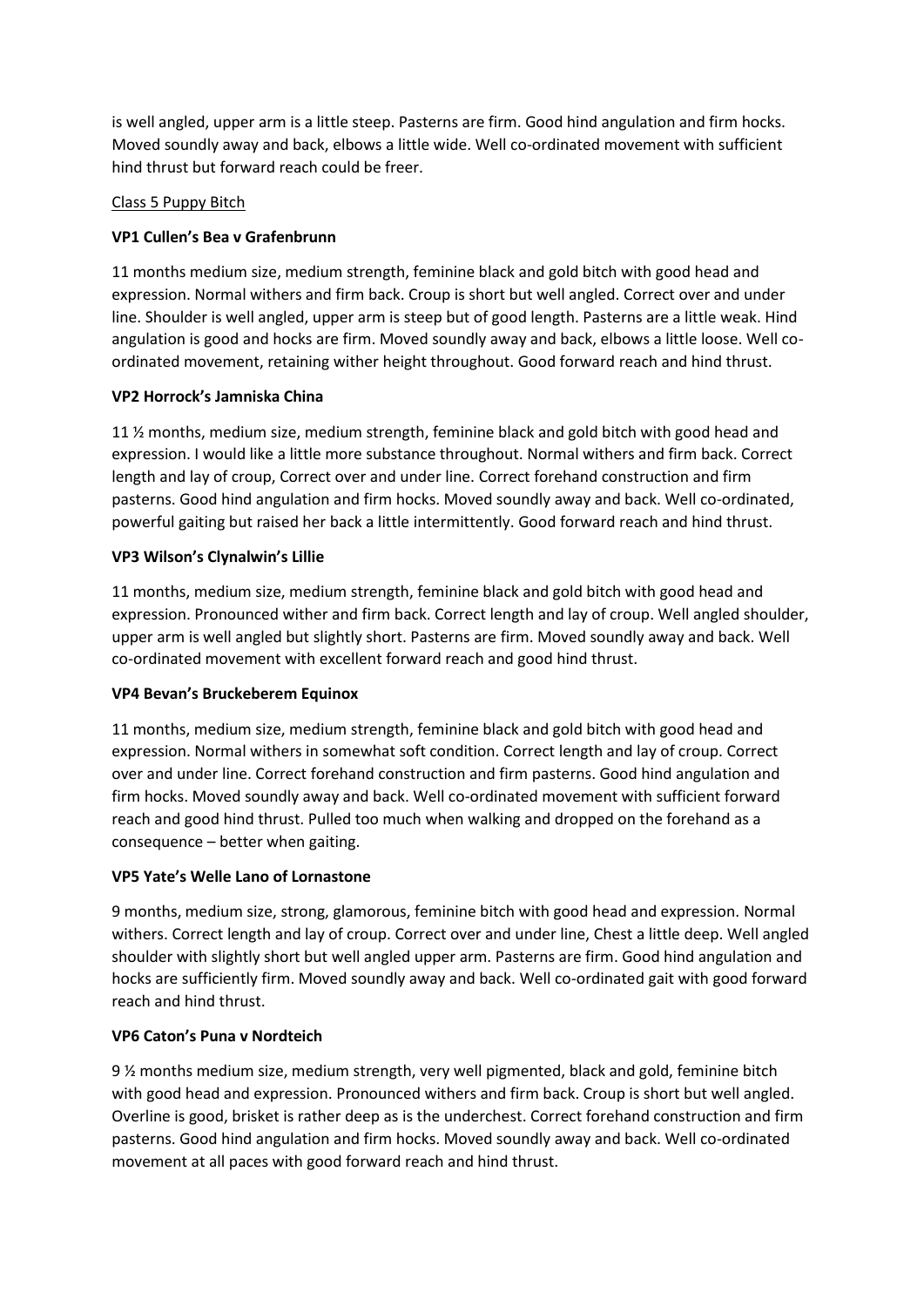is well angled, upper arm is a little steep. Pasterns are firm. Good hind angulation and firm hocks. Moved soundly away and back, elbows a little wide. Well co-ordinated movement with sufficient hind thrust but forward reach could be freer.

## Class 5 Puppy Bitch

## **VP1 Cullen's Bea v Grafenbrunn**

11 months medium size, medium strength, feminine black and gold bitch with good head and expression. Normal withers and firm back. Croup is short but well angled. Correct over and under line. Shoulder is well angled, upper arm is steep but of good length. Pasterns are a little weak. Hind angulation is good and hocks are firm. Moved soundly away and back, elbows a little loose. Well coordinated movement, retaining wither height throughout. Good forward reach and hind thrust.

### **VP2 Horrock's Jamniska China**

11 ½ months, medium size, medium strength, feminine black and gold bitch with good head and expression. I would like a little more substance throughout. Normal withers and firm back. Correct length and lay of croup, Correct over and under line. Correct forehand construction and firm pasterns. Good hind angulation and firm hocks. Moved soundly away and back. Well co-ordinated, powerful gaiting but raised her back a little intermittently. Good forward reach and hind thrust.

### **VP3 Wilson's Clynalwin's Lillie**

11 months, medium size, medium strength, feminine black and gold bitch with good head and expression. Pronounced wither and firm back. Correct length and lay of croup. Well angled shoulder, upper arm is well angled but slightly short. Pasterns are firm. Moved soundly away and back. Well co-ordinated movement with excellent forward reach and good hind thrust.

#### **VP4 Bevan's Bruckeberem Equinox**

11 months, medium size, medium strength, feminine black and gold bitch with good head and expression. Normal withers in somewhat soft condition. Correct length and lay of croup. Correct over and under line. Correct forehand construction and firm pasterns. Good hind angulation and firm hocks. Moved soundly away and back. Well co-ordinated movement with sufficient forward reach and good hind thrust. Pulled too much when walking and dropped on the forehand as a consequence – better when gaiting.

# **VP5 Yate's Welle Lano of Lornastone**

9 months, medium size, strong, glamorous, feminine bitch with good head and expression. Normal withers. Correct length and lay of croup. Correct over and under line, Chest a little deep. Well angled shoulder with slightly short but well angled upper arm. Pasterns are firm. Good hind angulation and hocks are sufficiently firm. Moved soundly away and back. Well co-ordinated gait with good forward reach and hind thrust.

#### **VP6 Caton's Puna v Nordteich**

9 ½ months medium size, medium strength, very well pigmented, black and gold, feminine bitch with good head and expression. Pronounced withers and firm back. Croup is short but well angled. Overline is good, brisket is rather deep as is the underchest. Correct forehand construction and firm pasterns. Good hind angulation and firm hocks. Moved soundly away and back. Well co-ordinated movement at all paces with good forward reach and hind thrust.